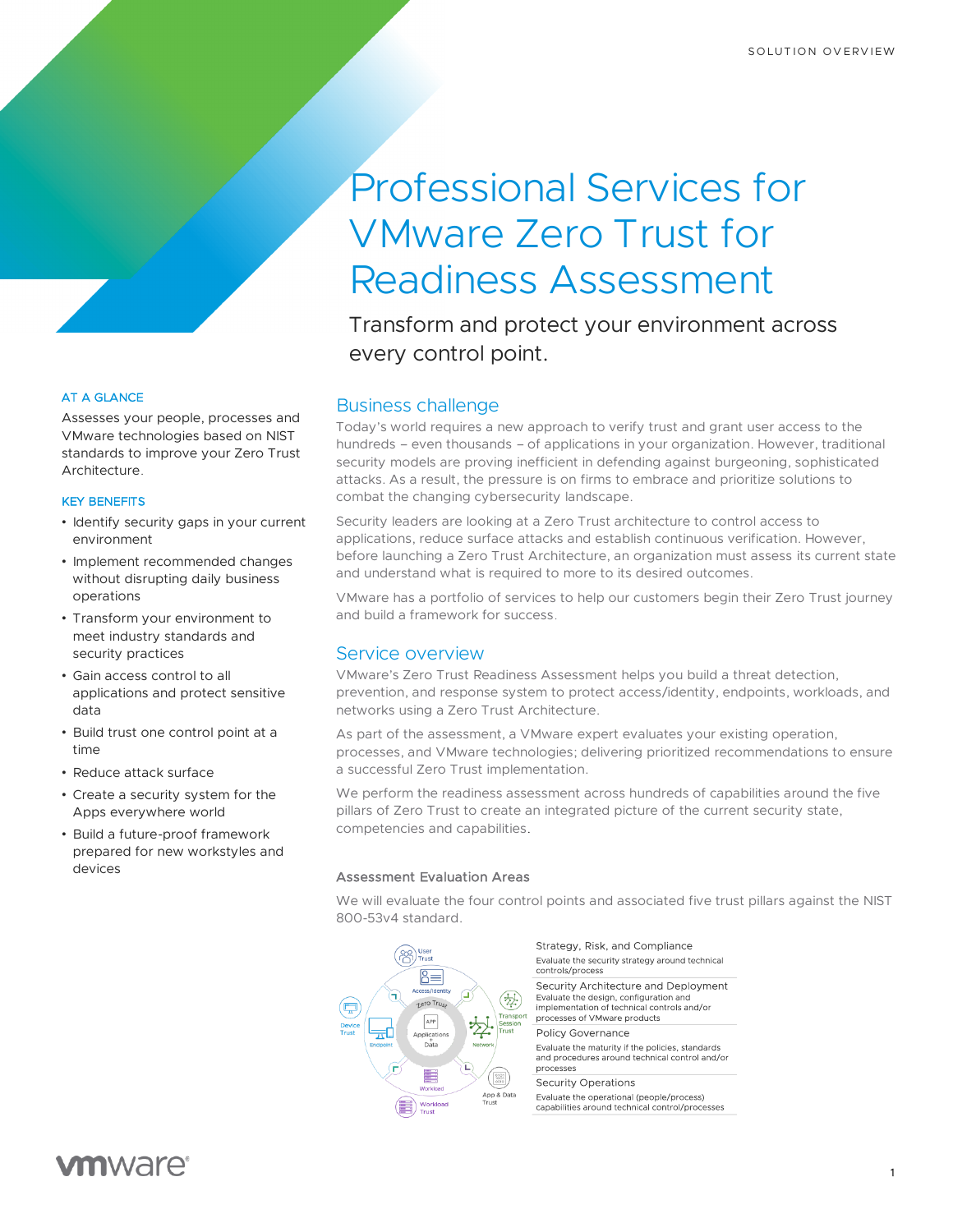# Professional Services for VMware Zero Trust for Readiness Assessment

Transform and protect your environment across every control point.

## Business challenge

Today's world requires a new approach to verify trust and grant user access to the hundreds – even thousands – of applications in your organization. However, traditional security models are proving inefficient in defending against burgeoning, sophisticated attacks. As a result, the pressure is on firms to embrace and prioritize solutions to combat the changing cybersecurity landscape.

Security leaders are looking at a Zero Trust architecture to control access to applications, reduce surface attacks and establish continuous verification. However, before launching a Zero Trust Architecture, an organization must assess its current state and understand what is required to more to its desired outcomes.

VMware has a portfolio of services to help our customers begin their Zero Trust journey and build a framework for success.

# Service overview

VMware's Zero Trust Readiness Assessment helps you build a threat detection, prevention, and response system to protect access/identity, endpoints, workloads, and networks using a Zero Trust Architecture.

As part of the assessment, a VMware expert evaluates your existing operation, processes, and VMware technologies; delivering prioritized recommendations to ensure a successful Zero Trust implementation.

We perform the readiness assessment across hundreds of capabilities around the five pillars of Zero Trust to create an integrated picture of the current security state, competencies and capabilities.

## Assessment Evaluation Areas

We will evaluate the four control points and associated five trust pillars against the NIST 800-53v4 standard.



## AT A GLANCE

Assesses your people, processes and VMware technologies based on NIST standards to improve your Zero Trust Architecture.

#### KEY BENEFITS

- Identify security gaps in your current environment
- Implement recommended changes without disrupting daily business operations
- Transform your environment to meet industry standards and security practices
- Gain access control to all applications and protect sensitive data
- Build trust one control point at a time
- Reduce attack surface
- Create a security system for the Apps everywhere world
- Build a future-proof framework prepared for new workstyles and devices